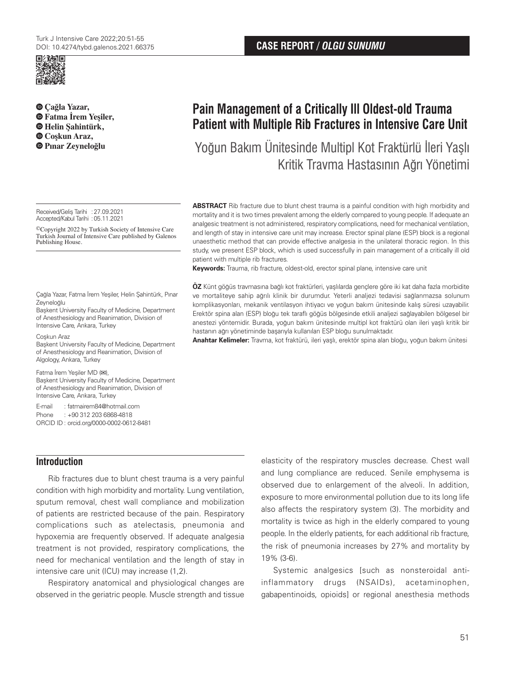

**Çağla Yazar, Fatma İrem Yeşiler, Helin Şahintürk,  [C](https://orcid.org/0000-0002-4927-6660)oşkun Araz,** 

Received/Geliş Tarihi :27.09.2021 Accepted/Kabul Tarihi : 05.11.2021

©Copyright 2022 by Turkish Society of Intensive Care Turkish Journal of Intensive Care published by Galenos Publishing House.

Çağla Yazar, Fatma İrem Yeşiler, Helin Şahintürk, Pınar Zeyneloğlu

Başkent University Faculty of Medicine, Department of Anesthesiology and Reanimation, Division of Intensive Care, Ankara, Turkey

Coşkun Araz

Başkent University Faculty of Medicine, Department of Anesthesiology and Reanimation, Division of Algology, Ankara, Turkey

Fatma İrem Yeşiler MD (**✉**), Başkent University Faculty of Medicine, Department of Anesthesiology and Reanimation, Division of Intensive Care, Ankara, Turkey

E-mail : fatmairem84@hotmail.com Phone : +90 312 203 6868-4818 ORCID ID : orcid.org/0000-0002-0612-8481

## **Introduction**

Rib fractures due to blunt chest trauma is a very painful condition with high morbidity and mortality. Lung ventilation, sputum removal, chest wall compliance and mobilization of patients are restricted because of the pain. Respiratory complications such as atelectasis, pneumonia and hypoxemia are frequently observed. If adequate analgesia treatment is not provided, respiratory complications, the need for mechanical ventilation and the length of stay in intensive care unit (ICU) may increase (1,2).

Respiratory anatomical and physiological changes are observed in the geriatric people. Muscle strength and tissue

# **Pain Management of a Critically Ill Oldest-old Trauma Patient with Multiple Rib Fractures in Intensive Care Unit**

**Pınar Zeyneloğlu** Yoğun Bakım Ünitesinde Multipl Kot Fraktürlü İleri Yaşlı Kritik Travma Hastasının Ağrı Yönetimi

> **ABSTRACT** Rib fracture due to blunt chest trauma is a painful condition with high morbidity and mortality and it is two times prevalent among the elderly compared to young people. If adequate an analgesic treatment is not administered, respiratory complications, need for mechanical ventilation, and length of stay in intensive care unit may increase. Erector spinal plane (ESP) block is a regional unaesthetic method that can provide effective analgesia in the unilateral thoracic region. In this study, we present ESP block, which is used successfully in pain management of a critically ill old patient with multiple rib fractures.

**Keywords:** Trauma, rib fracture, oldest-old, erector spinal plane, intensive care unit

**ÖZ** Künt göğüs travmasına bağlı kot fraktürleri, yaşlılarda gençlere göre iki kat daha fazla morbidite ve mortaliteye sahip ağrılı klinik bir durumdur. Yeterli analjezi tedavisi sağlanmazsa solunum komplikasyonları, mekanik ventilasyon ihtiyacı ve yoğun bakım ünitesinde kalış süresi uzayabilir. Erektör spina alan (ESP) bloğu tek taraflı göğüs bölgesinde etkili analjezi sağlayabilen bölgesel bir anestezi yöntemidir. Burada, yoğun bakım ünitesinde multipl kot fraktürü olan ileri yaşlı kritik bir hastanın ağrı yönetiminde başarıyla kullanılan ESP bloğu sunulmaktadır.

**Anahtar Kelimeler:** Travma, kot fraktürü, ileri yaşlı, erektör spina alan bloğu, yoğun bakım ünitesi

elasticity of the respiratory muscles decrease. Chest wall and lung compliance are reduced. Senile emphysema is observed due to enlargement of the alveoli. In addition, exposure to more environmental pollution due to its long life also affects the respiratory system (3). The morbidity and mortality is twice as high in the elderly compared to young people. In the elderly patients, for each additional rib fracture, the risk of pneumonia increases by 27% and mortality by 19% (3-6).

Systemic analgesics [such as nonsteroidal antiinflammatory drugs (NSAIDs), acetaminophen, gabapentinoids, opioids] or regional anesthesia methods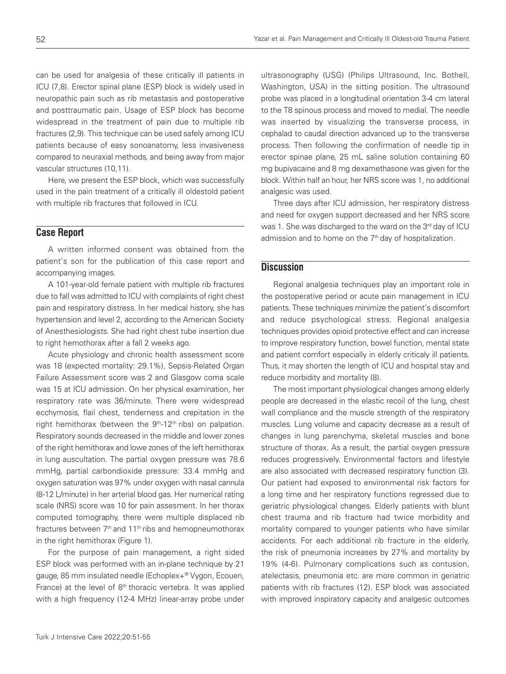can be used for analgesia of these critically ill patients in ICU (7,8). Erector spinal plane (ESP) block is widely used in neuropathic pain such as rib metastasis and postoperative and posttraumatic pain. Usage of ESP block has become widespread in the treatment of pain due to multiple rib fractures (2,9). This technique can be used safely among ICU patients because of easy sonoanatomy, less invasiveness compared to neuraxial methods, and being away from major vascular structures (10,11).

Here, we present the ESP block, which was successfully used in the pain treatment of a critically ill oldestold patient with multiple rib fractures that followed in ICU.

# **Case Report**

A written informed consent was obtained from the patient's son for the publication of this case report and accompanying images.

A 101-year-old female patient with multiple rib fractures due to fall was admitted to ICU with complaints of right chest pain and respiratory distress. In her medical history, she has hypertension and level 2, according to the American Society of Anesthesiologists. She had right chest tube insertion due to right hemothorax after a fall 2 weeks ago.

Acute physiology and chronic health assessment score was 18 (expected mortality: 29.1%), Sepsis-Related Organ Failure Assessment score was 2 and Glasgow coma scale was 15 at ICU admission. On her physical examination, her respiratory rate was 36/minute. There were widespread ecchymosis, flail chest, tenderness and crepitation in the right hemithorax (between the  $9<sup>th</sup>$ -12<sup>th</sup> ribs) on palpation. Respiratory sounds decreased in the middle and lower zones of the right hemithorax and lowe zones of the left hemithorax in lung auscultation. The partial oxygen pressure was 78.6 mmHg, partial carbondioxide pressure: 33.4 mmHg and oxygen saturation was 97% under oxygen with nasal cannula (8-12 L/minute) in her arterial blood gas. Her numerical rating scale (NRS) score was 10 for pain assesment. In her thorax computed tomography, there were multiple displaced rib fractures between  $7<sup>th</sup>$  and  $11<sup>th</sup>$  ribs and hemopneumothorax in the right hemithorax (Figure 1).

For the purpose of pain management, a right sided ESP block was performed with an in-plane technique by 21 gauge, 85 mm insulated needle (Echoplex+® Vygon, Ecouen, France) at the level of  $8<sup>th</sup>$  thoracic vertebra. It was applied with a high frequency (12-4 MHz) linear-array probe under

ultrasonography (USG) (Philips Ultrasound, Inc. Bothell, Washington, USA) in the sitting position. The ultrasound probe was placed in a longitudinal orientation 3-4 cm lateral to the T8 spinous process and moved to medial. The needle was inserted by visualizing the transverse process, in cephalad to caudal direction advanced up to the transverse process. Then following the confirmation of needle tip in erector spinae plane, 25 mL saline solution containing 60 mg bupivacaine and 8 mg dexamethasone was given for the block. Within half an hour, her NRS score was 1, no additional analgesic was used.

Three days after ICU admission, her respiratory distress and need for oxygen support decreased and her NRS score was 1. She was discharged to the ward on the 3<sup>rd</sup> day of ICU admission and to home on the 7<sup>th</sup> day of hospitalization.

## **Discussion**

Regional analgesia techniques play an important role in the postoperative period or acute pain management in ICU patients. These techniques minimize the patient's discomfort and reduce psychological stress. Regional analgesia techniques provides opioid protective effect and can increase to improve respiratory function, bowel function, mental state and patient comfort especially in elderly criticaly ill patients. Thus, it may shorten the length of ICU and hospital stay and reduce morbidity and mortality (8).

The most important physiological changes among elderly people are decreased in the elastic recoil of the lung, chest wall compliance and the muscle strength of the respiratory muscles. Lung volume and capacity decrease as a result of changes in lung parenchyma, skeletal muscles and bone structure of thorax. As a result, the partial oxygen pressure reduces progressively. Environmental factors and lifestyle are also associated with decreased respiratory function (3). Our patient had exposed to environmental risk factors for a long time and her respiratory functions regressed due to geriatric physiological changes. Elderly patients with blunt chest trauma and rib fracture had twice morbidity and mortality compared to younger patients who have similar accidents. For each additional rib fracture in the elderly, the risk of pneumonia increases by 27% and mortality by 19% (4-6). Pulmonary complications such as contusion, atelectasis, pneumonia etc. are more common in geriatric patients with rib fractures (12). ESP block was associated with improved inspiratory capacity and analgesic outcomes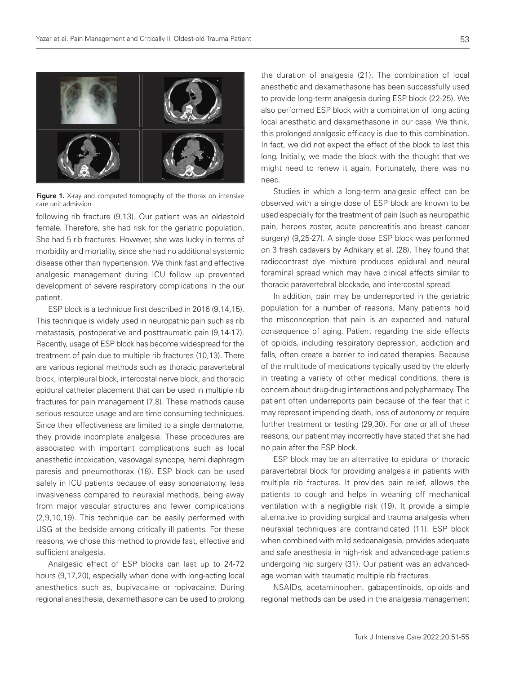

**Figure 1.** X-ray and computed tomography of the thorax on intensive care unit admission

following rib fracture (9,13). Our patient was an oldestold female. Therefore, she had risk for the geriatric population. She had 5 rib fractures. However, she was lucky in terms of morbidity and mortality, since she had no additional systemic disease other than hypertension. We think fast and effective analgesic management during ICU follow up prevented development of severe respiratory complications in the our patient.

ESP block is a technique first described in 2016 (9,14,15). This technique is widely used in neuropathic pain such as rib metastasis, postoperative and posttraumatic pain (9,14-17). Recently, usage of ESP block has become widespread for the treatment of pain due to multiple rib fractures (10,13). There are various regional methods such as thoracic paravertebral block, interpleural block, intercostal nerve block, and thoracic epidural catheter placement that can be used in multiple rib fractures for pain management (7,8). These methods cause serious resource usage and are time consuming techniques. Since their effectiveness are limited to a single dermatome, they provide incomplete analgesia. These procedures are associated with important complications such as local anesthetic intoxication, vasovagal syncope, hemi diaphragm paresis and pneumothorax (18). ESP block can be used safely in ICU patients because of easy sonoanatomy, less invasiveness compared to neuraxial methods, being away from major vascular structures and fewer complications (2,9,10,19). This technique can be easily performed with USG at the bedside among critically ill patients. For these reasons, we chose this method to provide fast, effective and sufficient analgesia.

Analgesic effect of ESP blocks can last up to 24-72 hours (9,17,20), especially when done with long-acting local anesthetics such as, bupivacaine or ropivacaine. During regional anesthesia, dexamethasone can be used to prolong

the duration of analgesia (21). The combination of local anesthetic and dexamethasone has been successfully used to provide long-term analgesia during ESP block (22-25). We also performed ESP block with a combination of long acting local anesthetic and dexamethasone in our case. We think, this prolonged analgesic efficacy is due to this combination. In fact, we did not expect the effect of the block to last this long. Initially, we made the block with the thought that we might need to renew it again. Fortunately, there was no need.

Studies in which a long-term analgesic effect can be observed with a single dose of ESP block are known to be used especially for the treatment of pain (such as neuropathic pain, herpes zoster, acute pancreatitis and breast cancer surgery) (9,25-27). A single dose ESP block was performed on 3 fresh cadavers by Adhikary et al. (28). They found that radiocontrast dye mixture produces epidural and neural foraminal spread which may have clinical effects similar to thoracic paravertebral blockade, and intercostal spread.

In addition, pain may be underreported in the geriatric population for a number of reasons. Many patients hold the misconception that pain is an expected and natural consequence of aging. Patient regarding the side effects of opioids, including respiratory depression, addiction and falls, often create a barrier to indicated therapies. Because of the multitude of medications typically used by the elderly in treating a variety of other medical conditions, there is concern about drug-drug interactions and polypharmacy. The patient often underreports pain because of the fear that it may represent impending death, loss of autonomy or require further treatment or testing (29,30). For one or all of these reasons, our patient may incorrectly have stated that she had no pain after the ESP block.

ESP block may be an alternative to epidural or thoracic paravertebral block for providing analgesia in patients with multiple rib fractures. It provides pain relief, allows the patients to cough and helps in weaning off mechanical ventilation with a negligible risk (19). It provide a simple alternative to providing surgical and trauma analgesia when neuraxial techniques are contraindicated (11). ESP block when combined with mild sedoanalgesia, provides adequate and safe anesthesia in high-risk and advanced-age patients undergoing hip surgery (31). Our patient was an advancedage woman with traumatic multiple rib fractures.

NSAIDs, acetaminophen, gabapentinoids, opioids and regional methods can be used in the analgesia management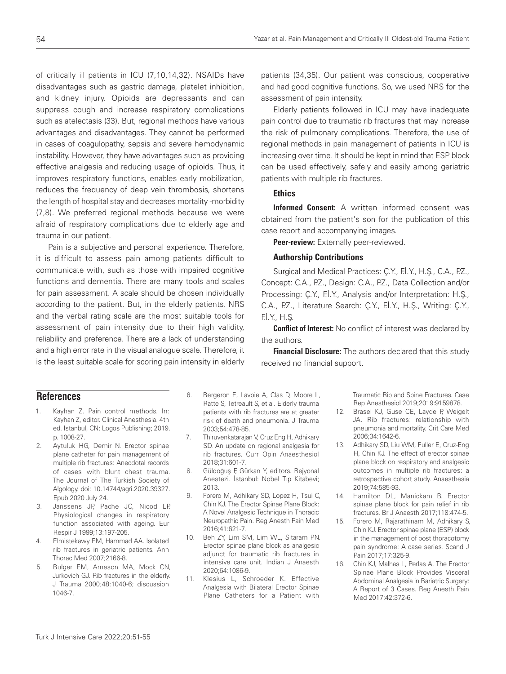of critically ill patients in ICU (7,10,14,32). NSAIDs have disadvantages such as gastric damage, platelet inhibition, and kidney injury. Opioids are depressants and can suppress cough and increase respiratory complications such as atelectasis (33). But, regional methods have various advantages and disadvantages. They cannot be performed in cases of coagulopathy, sepsis and severe hemodynamic instability. However, they have advantages such as providing effective analgesia and reducing usage of opioids. Thus, it improves respiratory functions, enables early mobilization, reduces the frequency of deep vein thrombosis, shortens the length of hospital stay and decreases mortality -morbidity (7,8). We preferred regional methods because we were afraid of respiratory complications due to elderly age and trauma in our patient.

Pain is a subjective and personal experience. Therefore, it is difficult to assess pain among patients difficult to communicate with, such as those with impaired cognitive functions and dementia. There are many tools and scales for pain assessment. A scale should be chosen individually according to the patient. But, in the elderly patients, NRS and the verbal rating scale are the most suitable tools for assessment of pain intensity due to their high validity, reliability and preference. There are a lack of understanding and a high error rate in the visual analogue scale. Therefore, it is the least suitable scale for scoring pain intensity in elderly patients (34,35). Our patient was conscious, cooperative and had good cognitive functions. So, we used NRS for the assessment of pain intensity.

Elderly patients followed in ICU may have inadequate pain control due to traumatic rib fractures that may increase the risk of pulmonary complications. Therefore, the use of regional methods in pain management of patients in ICU is increasing over time. It should be kept in mind that ESP block can be used effectively, safely and easily among geriatric patients with multiple rib fractures.

#### **Ethics**

Informed Consent: A written informed consent was obtained from the patient's son for the publication of this case report and accompanying images.

Peer-review: Externally peer-reviewed.

#### Authorship Contributions

Surgical and Medical Practices: C.Y., Fl.Y., H.S., C.A., P.Z., Concept: C.A., P.Z., Design: C.A., P.Z., Data Collection and/or Processing: Ç.Y., F.İ.Y., Analysis and/or Interpretation: H.Ş., C.A., P.Z., Literature Search: Ç.Y., F.İ.Y., H.Ş., Writing: Ç.Y., F.İ.Y., H.Ş.

**Conflict of Interest:** No conflict of interest was declared by the authors.

**Financial Disclosure:** The authors declared that this study received no financial support.

### **References**

- 1. Kayhan Z. Pain control methods. In: Kayhan Z, editor. Clinical Anesthesia. 4th ed. Istanbul, CN: Logos Publishing; 2019. p. 1008-27.
- 2. Aytuluk HG, Demir N. Erector spinae plane catheter for pain management of multiple rib fractures: Anecdotal records of cases with blunt chest trauma. The Journal of The Turkish Society of Algology. doi: 10.14744/agri.2020.39327. Epub 2020 July 24.
- 3. Janssens JP, Pache JC, Nicod LP. Physiological changes in respiratory function associated with ageing. Eur Respir J 1999;13:197-205.
- 4. Elmistekawy EM, Hammad AA. Isolated rib fractures in geriatric patients. Ann Thorac Med 2007;2166-8.
- 5. Bulger EM, Arneson MA, Mock CN, Jurkovich GJ. Rib fractures in the elderly. J Trauma 2000;48:1040-6; discussion 1046-7.
- 6. Bergeron E, Lavoie A, Clas D, Moore L, Ratte S, Tetreault S, et al. Elderly trauma patients with rib fractures are at greater risk of death and pneumonia. J Trauma 2003;54:478-85.
- 7. Thiruvenkatarajan V, Cruz Eng H, Adhikary SD. An update on regional analgesia for rib fractures. Curr Opin Anaesthesiol 2018;31:601-7.
- 8. Güldoğuş F, Gürkan Y, editors. Rejyonal Anestezi. İstanbul: Nobel Tıp Kitabevi; 2013.
- 9. Forero M, Adhikary SD, Lopez H, Tsui C, Chin KJ. The Erector Spinae Plane Block: A Novel Analgesic Technique in Thoracic Neuropathic Pain. Reg Anesth Pain Med 2016;41:621-7.
- 10. Beh ZY, Lim SM, Lim WL, Sitaram PN. Erector spinae plane block as analgesic adjunct for traumatic rib fractures in intensive care unit. Indian J Anaesth 2020;64:1086-9.
- 11. Klesius L, Schroeder K. Effective Analgesia with Bilateral Erector Spinae Plane Catheters for a Patient with

Traumatic Rib and Spine Fractures. Case Rep Anesthesiol 2019;2019:9159878.

- 12. Brasel KJ, Guse CE, Layde P, Weigelt JA. Rib fractures: relationship with pneumonia and mortality. Crit Care Med 2006;34:1642-6.
- 13. Adhikary SD, Liu WM, Fuller E, Cruz-Eng H, Chin KJ. The effect of erector spinae plane block on respiratory and analgesic outcomes in multiple rib fractures: a retrospective cohort study. Anaesthesia 2019;74:585-93.
- 14. Hamilton DL, Manickam B. Erector spinae plane block for pain relief in rib fractures. Br J Anaesth 2017;118:474-5.
- 15. Forero M, Rajarathinam M, Adhikary S, Chin KJ. Erector spinae plane (ESP) block in the management of post thoracotomy pain syndrome: A case series. Scand J Pain 2017;17:325-9.
- 16. Chin KJ, Malhas L, Perlas A. The Erector Spinae Plane Block Provides Visceral Abdominal Analgesia in Bariatric Surgery: A Report of 3 Cases. Reg Anesth Pain Med 2017;42:372-6.